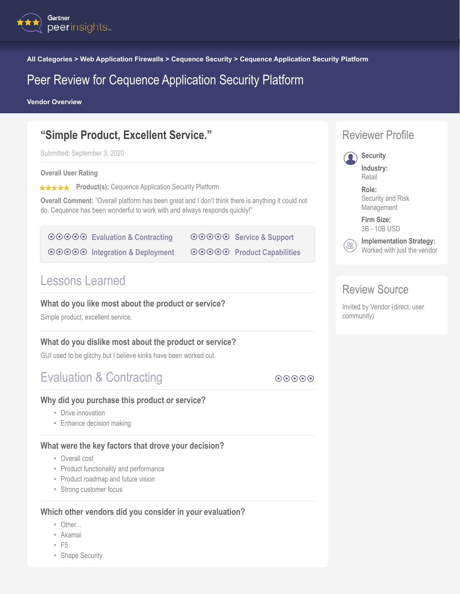

**All Categories > Web Application Firewalls > Cequence Security > Cequence Application Security Platform**

# Peer Review for Cequence Application Security Platform

**Vendor Overview**

# **"Simple Product, Excellent Service."**

Submitted: September 3, 2020

#### **Overall User Rating**

**★★★★★** Product(s): Cequence Application Security Platform

**Overall Comment:** "Overall platform has been great and I don't think there is anything it could not do. Cequence has been wonderful to work with and always responds quickly!"

**◎ ◎ ◎ ◎ Evaluation & Contracting <b>** $\odot$   $\odot$   $\odot$   $\odot$   $\odot$  [Integration & Deployment](#page-1-0)  $\odot$  $\odot$  $\odot$  $\odot$  $\odot$  $\odot$  $\odot$  $\odot$  $\odot$  $\odot$  $\odot$  $\odot$  $\odot$  $\odot$  $\odot$  $\odot$  $\odot$  $\odot$  $\odot$  $\odot$  $\odot$  $\odot$  $\odot$  $\odot$  $\odot$  $\odot$  $\odot$  $\odot$  $\odot$  $\odot$  $\odot$  $\odot$  $\odot$  $\odot$  $\odot$  $\odot$  **\odot ◎ ◎ ◎ ◎ [Product Capabilities](#page-1-0)** 

Lessons Learned

#### **What do you like most about the product or service?**

Simple product, excellent service.

#### **What do you dislike most about the product or service?**

GUI used to be glitchy but I believe kinks have been worked out.

# Evaluation & Contracting **Access 2018** and the second  $\theta$

#### **Why did you purchase this product or service?**

- Drive innovation
- Enhance decision making

#### **What were the key factors that drove your decision?**

- Overall cost
- Product functionality and performance
- Product roadmap and future vision
- Strong customer focus

#### **Which other vendors did you consider in your evaluation?**

- Other...
- Akamai
- F5
- Shape Security



# Review Source

Invited by Vendor (direct, user community)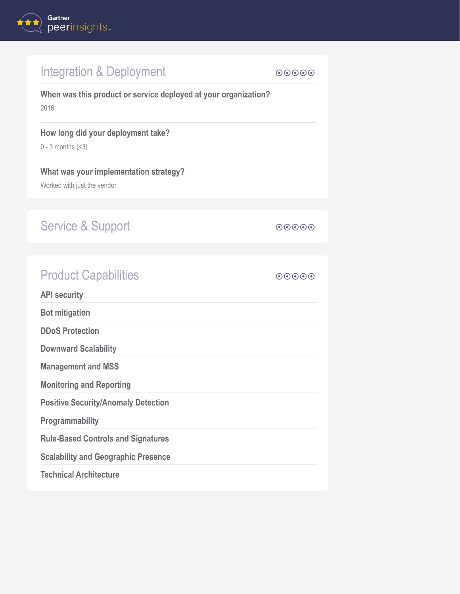<span id="page-1-0"></span>

| Integration & Deployment                                                | $\odot\odot\odot\odot$ |
|-------------------------------------------------------------------------|------------------------|
| When was this product or service deployed at your organization?<br>2016 |                        |
| How long did your deployment take?<br>$0 - 3$ months $($ 3)             |                        |
| What was your implementation strategy?<br>Worked with just the vendor   |                        |
|                                                                         |                        |
| <b>Service &amp; Support</b>                                            | $\odot\odot\odot\odot$ |
|                                                                         |                        |
| <b>Product Capabilities</b>                                             | $\odot\odot\odot\odot$ |
| <b>API security</b>                                                     |                        |
| <b>Bot mitigation</b>                                                   |                        |
| <b>DDoS Protection</b>                                                  |                        |
| <b>Downward Scalability</b>                                             |                        |
| <b>Management and MSS</b>                                               |                        |
| <b>Monitoring and Reporting</b>                                         |                        |
| <b>Positive Security/Anomaly Detection</b>                              |                        |
| Programmability                                                         |                        |
| <b>Rule-Based Controls and Signatures</b>                               |                        |
| <b>Scalability and Geographic Presence</b>                              |                        |
| <b>Technical Architecture</b>                                           |                        |